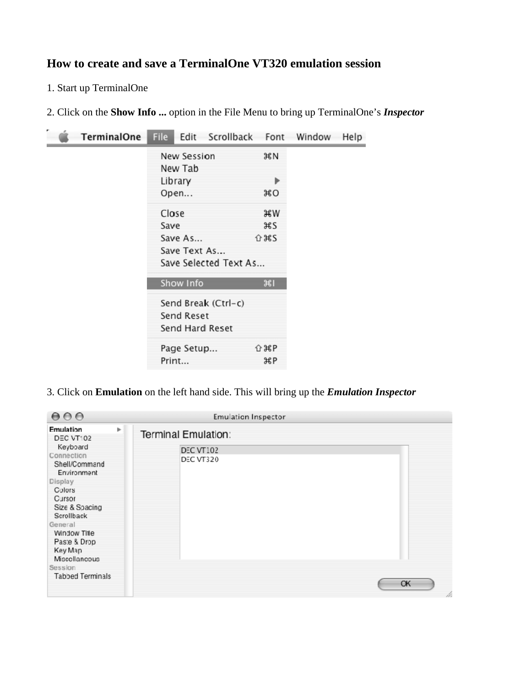## **How to create and save a TerminalOne VT320 emulation session**

1. Start up TerminalOne

2. Click on the **Show Info ...** option in the File Menu to bring up TerminalOne's *Inspector* 

| TerminalOne | <b>File</b> | Edit                   | Scrollback            |                                                            | Font Window | Help |
|-------------|-------------|------------------------|-----------------------|------------------------------------------------------------|-------------|------|
|             |             | New Session<br>New Tab |                       | жN                                                         |             |      |
|             |             | Library                |                       | Þ                                                          |             |      |
|             |             | Open                   |                       | жo                                                         |             |      |
|             | Close       |                        |                       | жw                                                         |             |      |
|             | Save        |                        |                       | жs                                                         |             |      |
|             |             | Save As                |                       | 位 まる                                                       |             |      |
|             |             | Save Text As           |                       |                                                            |             |      |
|             |             |                        | Save Selected Text As |                                                            |             |      |
|             |             | Show Info              |                       | भ्रा                                                       |             |      |
|             |             |                        | Send Break (Ctrl-c)   |                                                            |             |      |
|             |             | Send Reset             |                       |                                                            |             |      |
|             |             |                        | Send Hard Reset       |                                                            |             |      |
|             |             | Page Setup             |                       | おいかん いちのう いちのう いちょう いちょう しんしゃく ひとうしょう ひとうしょう ひとう ひとう しょうしゃ |             |      |
|             |             | Print                  |                       | жP                                                         |             |      |

3. Click on **Emulation** on the left hand side. This will bring up the *Emulation Inspector*

| 000                                                                                                                                                                                                                                      |   | <b>Emulation Inspector</b>                           |         |
|------------------------------------------------------------------------------------------------------------------------------------------------------------------------------------------------------------------------------------------|---|------------------------------------------------------|---------|
| Emulation<br><b>DEC VT102</b><br>Keyboard<br>Connection<br>Shell/Command<br>Environment<br>Display<br>Colors<br>Cursor<br>Size & Spacing<br>Scrollback<br>General<br>Window Title<br>Paste & Drop<br>Key Map<br>Miscellaneous<br>Session | Þ | Terminal Emulation:<br><b>DEC VT102</b><br>DEC VT320 |         |
| Tabbed Terminals                                                                                                                                                                                                                         |   |                                                      | OK<br>h |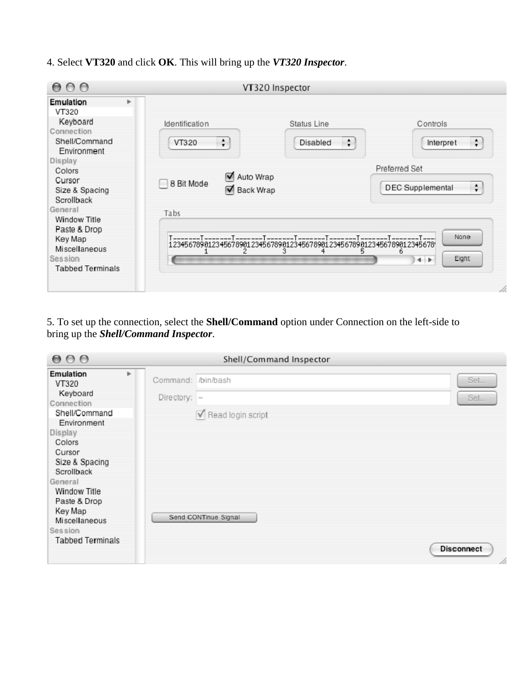4. Select **VT320** and click **OK**. This will bring up the *VT320 Inspector*.

| 000                                                                                    |                                              | VT320 Inspector                       |                                               |
|----------------------------------------------------------------------------------------|----------------------------------------------|---------------------------------------|-----------------------------------------------|
| Þ.<br>Emulation<br>VT320<br>Keyboard<br>Connection<br>Shell/Command<br>Environment     | Identification<br>÷<br>VT320                 | Status Line<br>$\ddot{ }$<br>Disabled | Controls<br>$\div$<br>Interpret               |
| Display<br>Colors<br>Cursor<br>Size & Spacing<br>Scrollback<br>General<br>Window Title | Auto Wrap<br>8 Bit Mode<br>Back Wrap<br>Tabs |                                       | Preferred Set<br>÷<br><b>DEC</b> Supplemental |
| Paste & Drop<br>Key Map<br>Miscellaneous<br>Session<br><b>Tabbed Terminals</b>         |                                              | 3<br>5                                | None<br>6<br>Eight<br>$+ +$<br>ł t            |

5. To set up the connection, select the **Shell/Command** option under Connection on the left-side to bring up the *Shell/Command Inspector*.

| 000                                                                                                                                                                                                      |                    | Shell/Command Inspector                                   |                          |
|----------------------------------------------------------------------------------------------------------------------------------------------------------------------------------------------------------|--------------------|-----------------------------------------------------------|--------------------------|
| Emulation<br>r<br>VT320                                                                                                                                                                                  | Command: /bin/bash |                                                           | Set                      |
| Keyboard<br>Connection                                                                                                                                                                                   | Directory: $\sim$  |                                                           | Set                      |
| Shell/Command<br>Environment<br>Display<br>Colors<br>Cursor<br>Size & Spacing<br>Scrollback<br>General<br>Window Title<br>Paste & Drop<br>Key Map<br>Miscellaneous<br>Session<br><b>Tabbed Terminals</b> |                    | $\triangledown$ Read login script<br>Send CONTinue Signal | <b>Disconnect</b><br>11. |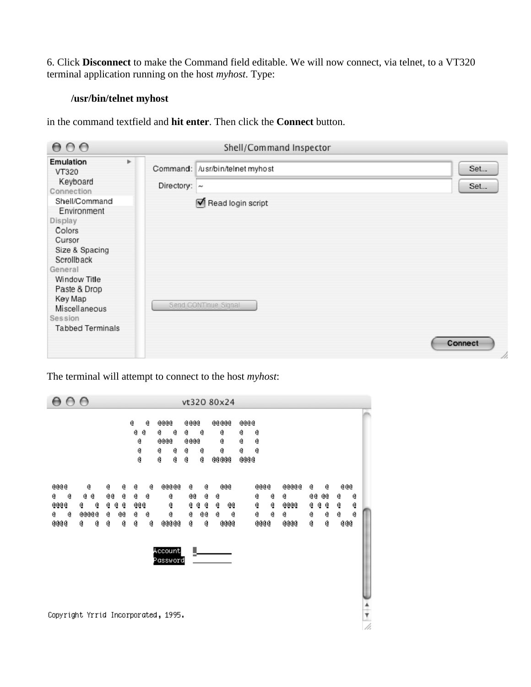6. Click **Disconnect** to make the Command field editable. We will now connect, via telnet, to a VT320 terminal application running on the host *myhost*. Type:

## **/usr/bin/telnet myhost**

in the command textfield and **hit enter**. Then click the **Connect** button.

| 000                                                                                                                                                                                                                                                      |                         | Shell/Command Inspector                                                      |                       |
|----------------------------------------------------------------------------------------------------------------------------------------------------------------------------------------------------------------------------------------------------------|-------------------------|------------------------------------------------------------------------------|-----------------------|
| Emulation<br>VT320<br>Keyboard<br>Connection<br>Shell/Command<br>Environment<br>Display<br>Colors<br>Cursor<br>Size & Spacing<br>Scrollback<br>General<br>Window Title<br>Paste & Drop<br>Key Map<br>Miscellaneous<br>Session<br><b>Tabbed Terminals</b> | Þ.<br>Directory: $\sim$ | Command: /usr/bin/telnet myhost<br>Read login script<br>Send CONTinue Signal | Set<br>Set<br>Connect |
|                                                                                                                                                                                                                                                          |                         |                                                                              | 1                     |

The terminal will attempt to connect to the host *myhost*:

| $\bigcap$<br>$\bigcirc$                                                                                                                              |                                                                                                       | vt320 80x24                                                                                           |                                                                                               |                                                                                                            |
|------------------------------------------------------------------------------------------------------------------------------------------------------|-------------------------------------------------------------------------------------------------------|-------------------------------------------------------------------------------------------------------|-----------------------------------------------------------------------------------------------|------------------------------------------------------------------------------------------------------------|
|                                                                                                                                                      | Q<br>aaaa<br>Ø<br>Q.<br>Ø<br>0<br>Ø<br>aaaa<br>@<br>Q<br>@<br>@<br>Ø<br>Q<br>Ø                        | aaaa<br>aaaaa<br>g.<br>Q<br>@<br>aaaa<br>Q<br>Q<br>@<br>@<br><b>@@@@</b><br>Q<br>Q                    | aaaa<br>Q<br>@<br>Q<br>@<br>Q<br>@<br><b>@@@@</b>                                             |                                                                                                            |
| aaaa<br>0<br>ø<br>@<br>Ø<br>@@<br>0<br>@ @<br>ø<br>aaaa<br>@<br>Q.<br>Q.<br>@<br>₫<br>@<br>aaaaa<br>0<br>Q.<br>@@<br><b>@@@@</b><br>Q<br>Q<br>Q<br>Q | aaaaa<br>0<br>Q.<br>Q.<br>@<br>Q<br>@@<br>Q.<br>Q<br>0<br>@<br>00000<br>Q<br>Q<br>Account<br>Password | 0<br>0<br>aaa<br>@<br>@@<br>@<br>Q.<br>Q.<br>Q.<br>Q.<br>@@<br>Q.<br>G.<br>GG<br>Q.<br>Q<br>aaaa<br>Q | aaaa<br>aaaaa<br>0<br>@<br>@<br>Q.<br>Q.<br>aaaa<br>ø<br>₫<br>0<br><b>@@@@</b><br><b>GGGG</b> | aaa<br>@<br>Q<br>@@<br>@@<br>@<br>@<br>Q.<br>Q.<br>ଡ଼ ଡ<br>ĝ.<br>Q.<br>@<br>Q<br>Q<br>Ø<br>Q<br><b>@@@</b> |
| Copyright Yrrid Incorporated, 1995.                                                                                                                  |                                                                                                       |                                                                                                       |                                                                                               | $\frac{1}{\sqrt{2}}$                                                                                       |